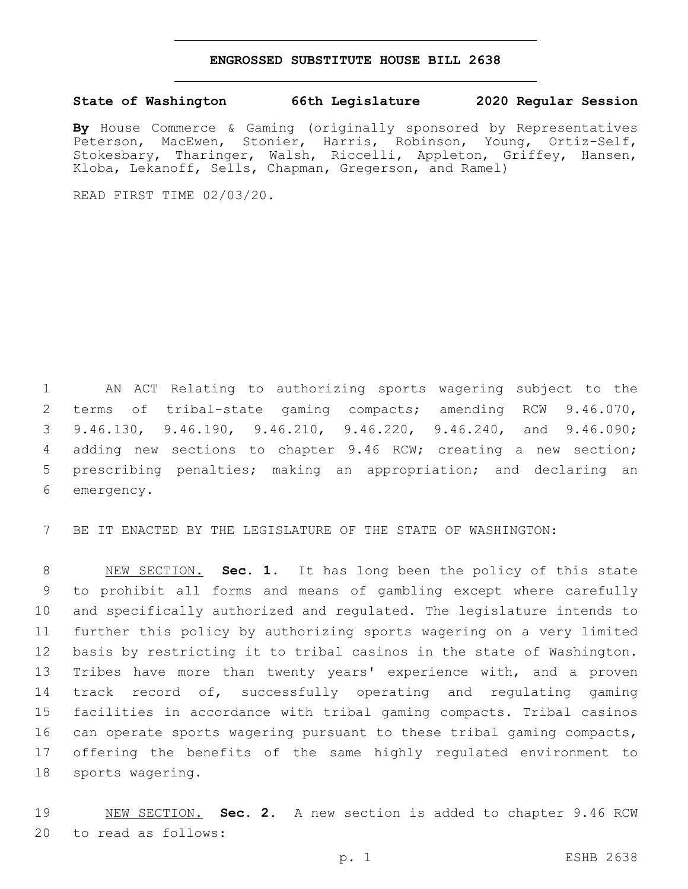## **ENGROSSED SUBSTITUTE HOUSE BILL 2638**

## **State of Washington 66th Legislature 2020 Regular Session**

**By** House Commerce & Gaming (originally sponsored by Representatives Peterson, MacEwen, Stonier, Harris, Robinson, Young, Ortiz-Self, Stokesbary, Tharinger, Walsh, Riccelli, Appleton, Griffey, Hansen, Kloba, Lekanoff, Sells, Chapman, Gregerson, and Ramel)

READ FIRST TIME 02/03/20.

 AN ACT Relating to authorizing sports wagering subject to the terms of tribal-state gaming compacts; amending RCW 9.46.070, 9.46.130, 9.46.190, 9.46.210, 9.46.220, 9.46.240, and 9.46.090; adding new sections to chapter 9.46 RCW; creating a new section; prescribing penalties; making an appropriation; and declaring an 6 emergency.

BE IT ENACTED BY THE LEGISLATURE OF THE STATE OF WASHINGTON:

 NEW SECTION. **Sec. 1.** It has long been the policy of this state to prohibit all forms and means of gambling except where carefully and specifically authorized and regulated. The legislature intends to further this policy by authorizing sports wagering on a very limited basis by restricting it to tribal casinos in the state of Washington. Tribes have more than twenty years' experience with, and a proven track record of, successfully operating and regulating gaming facilities in accordance with tribal gaming compacts. Tribal casinos can operate sports wagering pursuant to these tribal gaming compacts, offering the benefits of the same highly regulated environment to sports wagering.

 NEW SECTION. **Sec. 2.** A new section is added to chapter 9.46 RCW 20 to read as follows: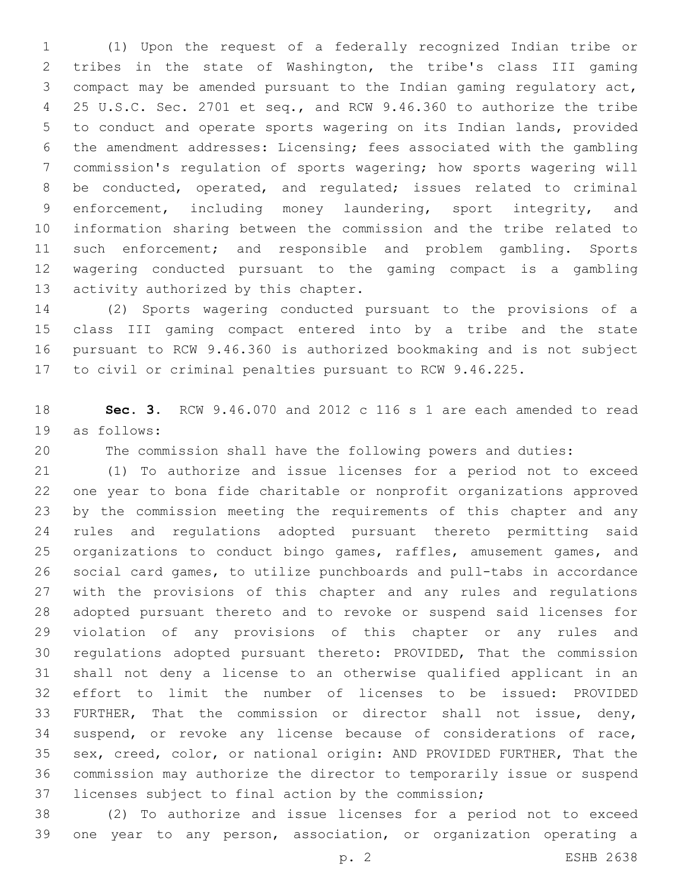(1) Upon the request of a federally recognized Indian tribe or tribes in the state of Washington, the tribe's class III gaming compact may be amended pursuant to the Indian gaming regulatory act, 25 U.S.C. Sec. 2701 et seq., and RCW 9.46.360 to authorize the tribe to conduct and operate sports wagering on its Indian lands, provided the amendment addresses: Licensing; fees associated with the gambling commission's regulation of sports wagering; how sports wagering will be conducted, operated, and regulated; issues related to criminal enforcement, including money laundering, sport integrity, and information sharing between the commission and the tribe related to such enforcement; and responsible and problem gambling. Sports wagering conducted pursuant to the gaming compact is a gambling 13 activity authorized by this chapter.

 (2) Sports wagering conducted pursuant to the provisions of a class III gaming compact entered into by a tribe and the state pursuant to RCW 9.46.360 is authorized bookmaking and is not subject to civil or criminal penalties pursuant to RCW 9.46.225.

 **Sec. 3.** RCW 9.46.070 and 2012 c 116 s 1 are each amended to read 19 as follows:

The commission shall have the following powers and duties:

 (1) To authorize and issue licenses for a period not to exceed one year to bona fide charitable or nonprofit organizations approved by the commission meeting the requirements of this chapter and any rules and regulations adopted pursuant thereto permitting said organizations to conduct bingo games, raffles, amusement games, and social card games, to utilize punchboards and pull-tabs in accordance with the provisions of this chapter and any rules and regulations adopted pursuant thereto and to revoke or suspend said licenses for violation of any provisions of this chapter or any rules and regulations adopted pursuant thereto: PROVIDED, That the commission shall not deny a license to an otherwise qualified applicant in an effort to limit the number of licenses to be issued: PROVIDED FURTHER, That the commission or director shall not issue, deny, suspend, or revoke any license because of considerations of race, sex, creed, color, or national origin: AND PROVIDED FURTHER, That the commission may authorize the director to temporarily issue or suspend licenses subject to final action by the commission;

 (2) To authorize and issue licenses for a period not to exceed one year to any person, association, or organization operating a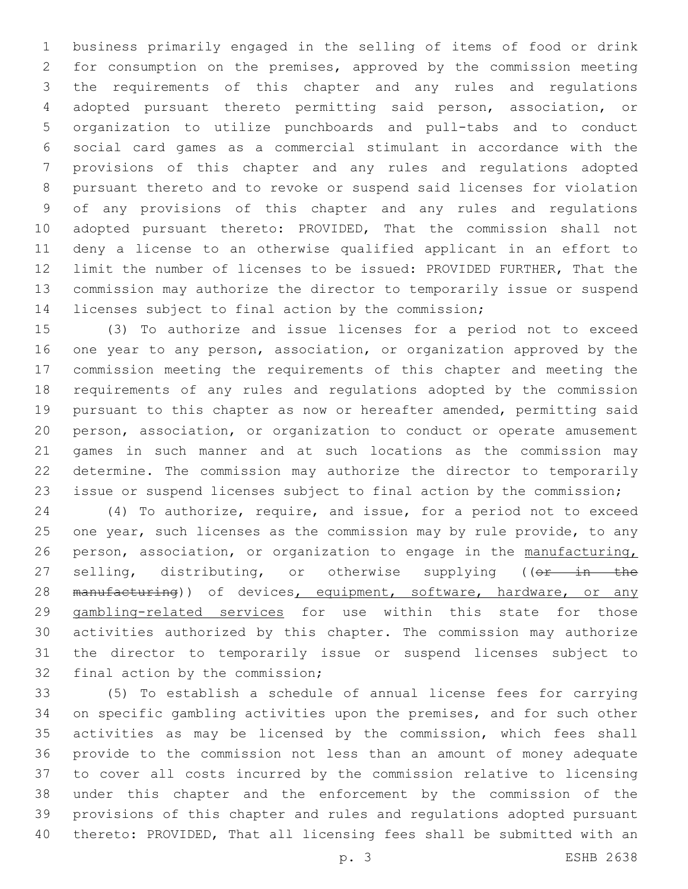business primarily engaged in the selling of items of food or drink for consumption on the premises, approved by the commission meeting the requirements of this chapter and any rules and regulations adopted pursuant thereto permitting said person, association, or organization to utilize punchboards and pull-tabs and to conduct social card games as a commercial stimulant in accordance with the provisions of this chapter and any rules and regulations adopted pursuant thereto and to revoke or suspend said licenses for violation of any provisions of this chapter and any rules and regulations adopted pursuant thereto: PROVIDED, That the commission shall not deny a license to an otherwise qualified applicant in an effort to limit the number of licenses to be issued: PROVIDED FURTHER, That the commission may authorize the director to temporarily issue or suspend licenses subject to final action by the commission;

 (3) To authorize and issue licenses for a period not to exceed one year to any person, association, or organization approved by the commission meeting the requirements of this chapter and meeting the requirements of any rules and regulations adopted by the commission pursuant to this chapter as now or hereafter amended, permitting said person, association, or organization to conduct or operate amusement games in such manner and at such locations as the commission may determine. The commission may authorize the director to temporarily issue or suspend licenses subject to final action by the commission;

 (4) To authorize, require, and issue, for a period not to exceed 25 one year, such licenses as the commission may by rule provide, to any person, association, or organization to engage in the manufacturing, 27 selling, distributing, or otherwise supplying ((or in the 28 manufacturing)) of devices, equipment, software, hardware, or any gambling-related services for use within this state for those activities authorized by this chapter. The commission may authorize the director to temporarily issue or suspend licenses subject to 32 final action by the commission;

 (5) To establish a schedule of annual license fees for carrying on specific gambling activities upon the premises, and for such other activities as may be licensed by the commission, which fees shall provide to the commission not less than an amount of money adequate to cover all costs incurred by the commission relative to licensing under this chapter and the enforcement by the commission of the provisions of this chapter and rules and regulations adopted pursuant thereto: PROVIDED, That all licensing fees shall be submitted with an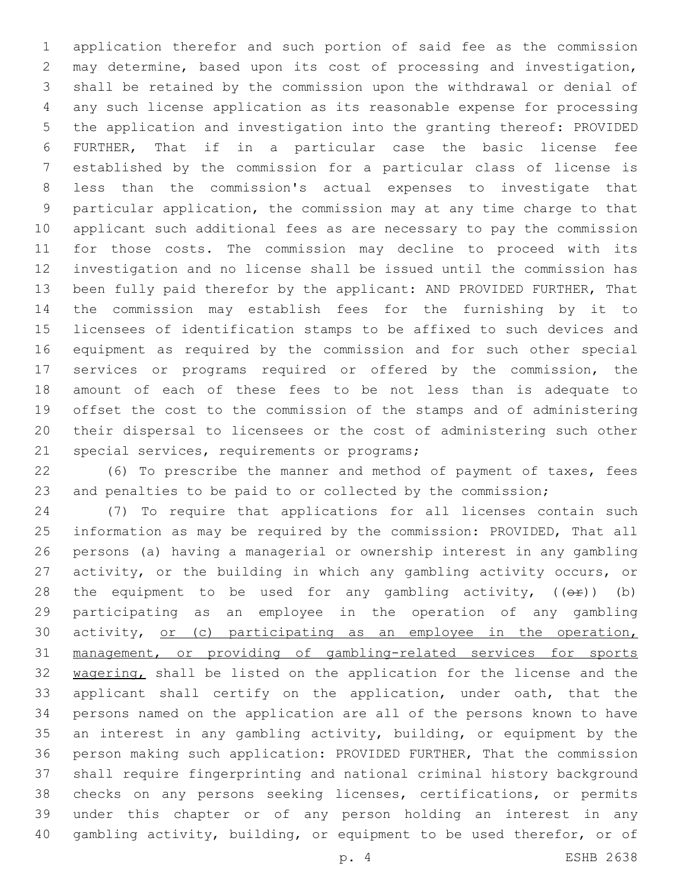application therefor and such portion of said fee as the commission may determine, based upon its cost of processing and investigation, shall be retained by the commission upon the withdrawal or denial of any such license application as its reasonable expense for processing the application and investigation into the granting thereof: PROVIDED FURTHER, That if in a particular case the basic license fee established by the commission for a particular class of license is less than the commission's actual expenses to investigate that particular application, the commission may at any time charge to that applicant such additional fees as are necessary to pay the commission for those costs. The commission may decline to proceed with its investigation and no license shall be issued until the commission has been fully paid therefor by the applicant: AND PROVIDED FURTHER, That the commission may establish fees for the furnishing by it to licensees of identification stamps to be affixed to such devices and equipment as required by the commission and for such other special services or programs required or offered by the commission, the amount of each of these fees to be not less than is adequate to offset the cost to the commission of the stamps and of administering their dispersal to licensees or the cost of administering such other 21 special services, requirements or programs;

 (6) To prescribe the manner and method of payment of taxes, fees and penalties to be paid to or collected by the commission;

 (7) To require that applications for all licenses contain such information as may be required by the commission: PROVIDED, That all persons (a) having a managerial or ownership interest in any gambling activity, or the building in which any gambling activity occurs, or 28 the equipment to be used for any gambling activity,  $((\theta \cdot \hat{r}))$  (b) participating as an employee in the operation of any gambling 30 activity, or (c) participating as an employee in the operation, management, or providing of gambling-related services for sports 32 wagering, shall be listed on the application for the license and the applicant shall certify on the application, under oath, that the persons named on the application are all of the persons known to have an interest in any gambling activity, building, or equipment by the person making such application: PROVIDED FURTHER, That the commission shall require fingerprinting and national criminal history background checks on any persons seeking licenses, certifications, or permits under this chapter or of any person holding an interest in any gambling activity, building, or equipment to be used therefor, or of

p. 4 ESHB 2638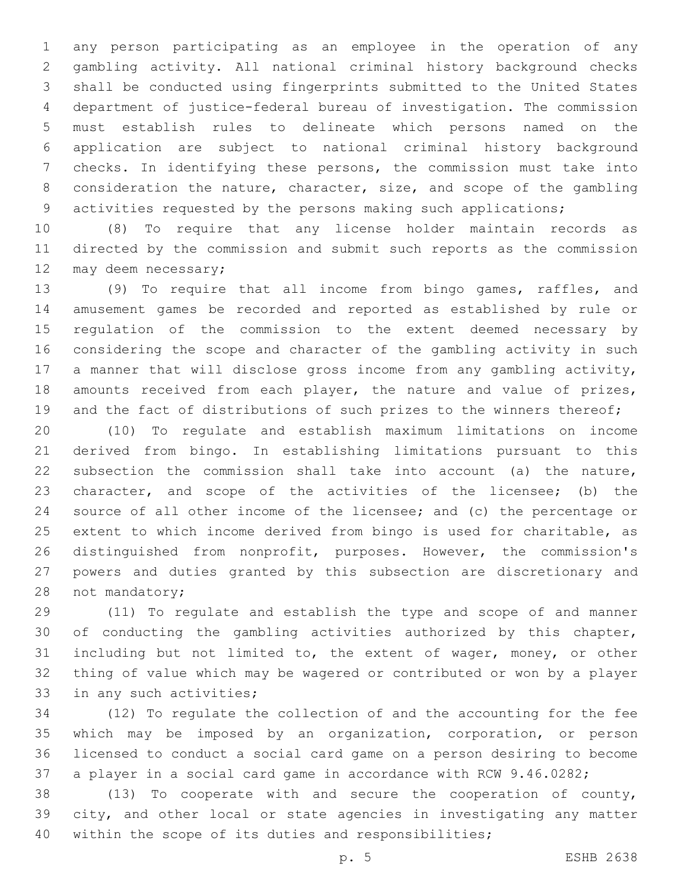any person participating as an employee in the operation of any gambling activity. All national criminal history background checks shall be conducted using fingerprints submitted to the United States department of justice-federal bureau of investigation. The commission must establish rules to delineate which persons named on the application are subject to national criminal history background checks. In identifying these persons, the commission must take into consideration the nature, character, size, and scope of the gambling activities requested by the persons making such applications;

 (8) To require that any license holder maintain records as directed by the commission and submit such reports as the commission 12 may deem necessary;

 (9) To require that all income from bingo games, raffles, and amusement games be recorded and reported as established by rule or regulation of the commission to the extent deemed necessary by considering the scope and character of the gambling activity in such a manner that will disclose gross income from any gambling activity, amounts received from each player, the nature and value of prizes, 19 and the fact of distributions of such prizes to the winners thereof;

 (10) To regulate and establish maximum limitations on income derived from bingo. In establishing limitations pursuant to this subsection the commission shall take into account (a) the nature, character, and scope of the activities of the licensee; (b) the source of all other income of the licensee; and (c) the percentage or extent to which income derived from bingo is used for charitable, as distinguished from nonprofit, purposes. However, the commission's powers and duties granted by this subsection are discretionary and 28 not mandatory;

 (11) To regulate and establish the type and scope of and manner of conducting the gambling activities authorized by this chapter, including but not limited to, the extent of wager, money, or other thing of value which may be wagered or contributed or won by a player 33 in any such activities;

 (12) To regulate the collection of and the accounting for the fee which may be imposed by an organization, corporation, or person licensed to conduct a social card game on a person desiring to become a player in a social card game in accordance with RCW 9.46.0282;

 (13) To cooperate with and secure the cooperation of county, city, and other local or state agencies in investigating any matter within the scope of its duties and responsibilities;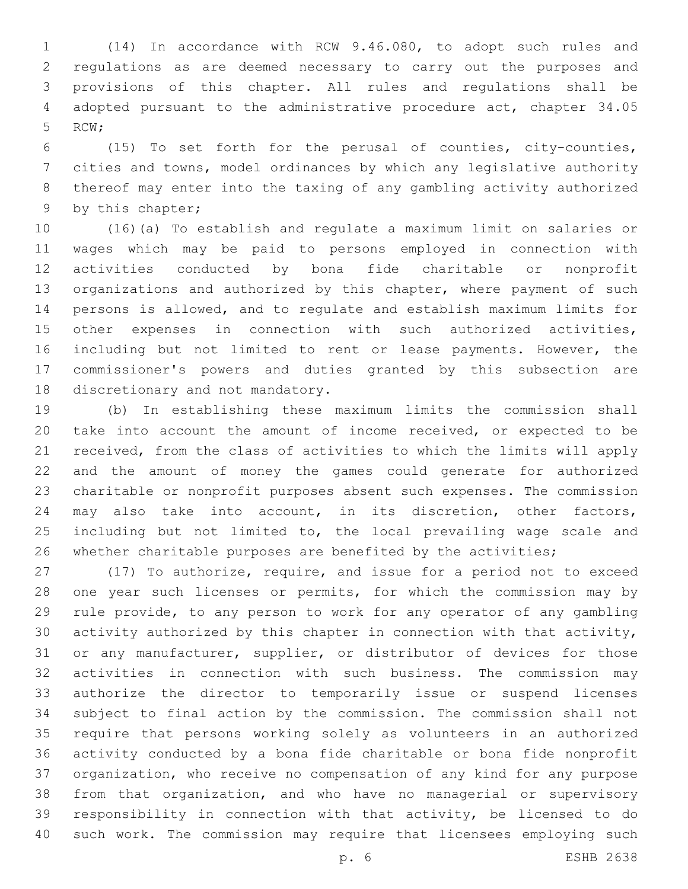(14) In accordance with RCW 9.46.080, to adopt such rules and regulations as are deemed necessary to carry out the purposes and provisions of this chapter. All rules and regulations shall be adopted pursuant to the administrative procedure act, chapter 34.05 5 RCW;

 (15) To set forth for the perusal of counties, city-counties, cities and towns, model ordinances by which any legislative authority thereof may enter into the taxing of any gambling activity authorized 9 by this chapter;

 (16)(a) To establish and regulate a maximum limit on salaries or wages which may be paid to persons employed in connection with activities conducted by bona fide charitable or nonprofit organizations and authorized by this chapter, where payment of such persons is allowed, and to regulate and establish maximum limits for other expenses in connection with such authorized activities, including but not limited to rent or lease payments. However, the commissioner's powers and duties granted by this subsection are 18 discretionary and not mandatory.

 (b) In establishing these maximum limits the commission shall take into account the amount of income received, or expected to be received, from the class of activities to which the limits will apply and the amount of money the games could generate for authorized charitable or nonprofit purposes absent such expenses. The commission may also take into account, in its discretion, other factors, 25 including but not limited to, the local prevailing wage scale and whether charitable purposes are benefited by the activities;

 (17) To authorize, require, and issue for a period not to exceed one year such licenses or permits, for which the commission may by rule provide, to any person to work for any operator of any gambling activity authorized by this chapter in connection with that activity, or any manufacturer, supplier, or distributor of devices for those activities in connection with such business. The commission may authorize the director to temporarily issue or suspend licenses subject to final action by the commission. The commission shall not require that persons working solely as volunteers in an authorized activity conducted by a bona fide charitable or bona fide nonprofit organization, who receive no compensation of any kind for any purpose from that organization, and who have no managerial or supervisory responsibility in connection with that activity, be licensed to do such work. The commission may require that licensees employing such

p. 6 ESHB 2638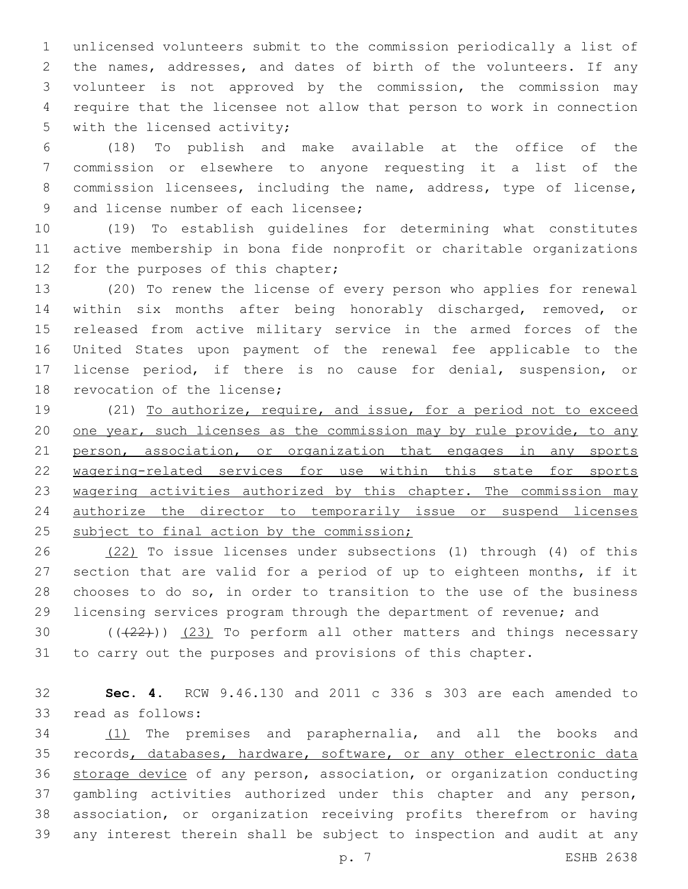unlicensed volunteers submit to the commission periodically a list of the names, addresses, and dates of birth of the volunteers. If any volunteer is not approved by the commission, the commission may require that the licensee not allow that person to work in connection 5 with the licensed activity;

 (18) To publish and make available at the office of the commission or elsewhere to anyone requesting it a list of the commission licensees, including the name, address, type of license, 9 and license number of each licensee;

 (19) To establish guidelines for determining what constitutes active membership in bona fide nonprofit or charitable organizations 12 for the purposes of this chapter;

 (20) To renew the license of every person who applies for renewal within six months after being honorably discharged, removed, or released from active military service in the armed forces of the United States upon payment of the renewal fee applicable to the license period, if there is no cause for denial, suspension, or 18 revocation of the license;

 (21) To authorize, require, and issue, for a period not to exceed 20 one year, such licenses as the commission may by rule provide, to any 21 person, association, or organization that engages in any sports wagering-related services for use within this state for sports 23 wagering activities authorized by this chapter. The commission may authorize the director to temporarily issue or suspend licenses 25 subject to final action by the commission;

 (22) To issue licenses under subsections (1) through (4) of this section that are valid for a period of up to eighteen months, if it chooses to do so, in order to transition to the use of the business licensing services program through the department of revenue; and

30  $((+22))$   $(23)$  To perform all other matters and things necessary to carry out the purposes and provisions of this chapter.

 **Sec. 4.** RCW 9.46.130 and 2011 c 336 s 303 are each amended to 33 read as follows:

 (1) The premises and paraphernalia, and all the books and 35 records, databases, hardware, software, or any other electronic data storage device of any person, association, or organization conducting gambling activities authorized under this chapter and any person, association, or organization receiving profits therefrom or having any interest therein shall be subject to inspection and audit at any

p. 7 ESHB 2638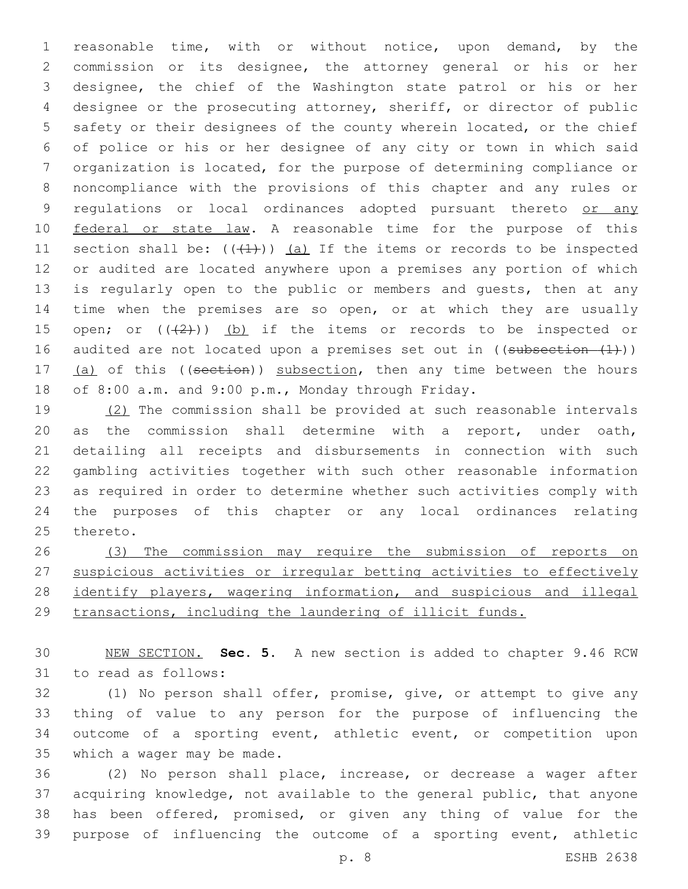reasonable time, with or without notice, upon demand, by the commission or its designee, the attorney general or his or her designee, the chief of the Washington state patrol or his or her designee or the prosecuting attorney, sheriff, or director of public safety or their designees of the county wherein located, or the chief of police or his or her designee of any city or town in which said organization is located, for the purpose of determining compliance or noncompliance with the provisions of this chapter and any rules or 9 regulations or local ordinances adopted pursuant thereto or any 10 federal or state law. A reasonable time for the purpose of this 11 section shall be:  $((+1))$  (a) If the items or records to be inspected or audited are located anywhere upon a premises any portion of which 13 is regularly open to the public or members and quests, then at any time when the premises are so open, or at which they are usually 15 open; or  $((2+))$  (b) if the items or records to be inspected or 16 audited are not located upon a premises set out in  $((subsection - (1)))$ 17 (a) of this ((section)) subsection, then any time between the hours of 8:00 a.m. and 9:00 p.m., Monday through Friday.

 (2) The commission shall be provided at such reasonable intervals as the commission shall determine with a report, under oath, detailing all receipts and disbursements in connection with such gambling activities together with such other reasonable information as required in order to determine whether such activities comply with the purposes of this chapter or any local ordinances relating 25 thereto.

 (3) The commission may require the submission of reports on suspicious activities or irregular betting activities to effectively 28 identify players, wagering information, and suspicious and illegal transactions, including the laundering of illicit funds.

 NEW SECTION. **Sec. 5.** A new section is added to chapter 9.46 RCW 31 to read as follows:

 (1) No person shall offer, promise, give, or attempt to give any thing of value to any person for the purpose of influencing the outcome of a sporting event, athletic event, or competition upon 35 which a wager may be made.

 (2) No person shall place, increase, or decrease a wager after acquiring knowledge, not available to the general public, that anyone has been offered, promised, or given any thing of value for the purpose of influencing the outcome of a sporting event, athletic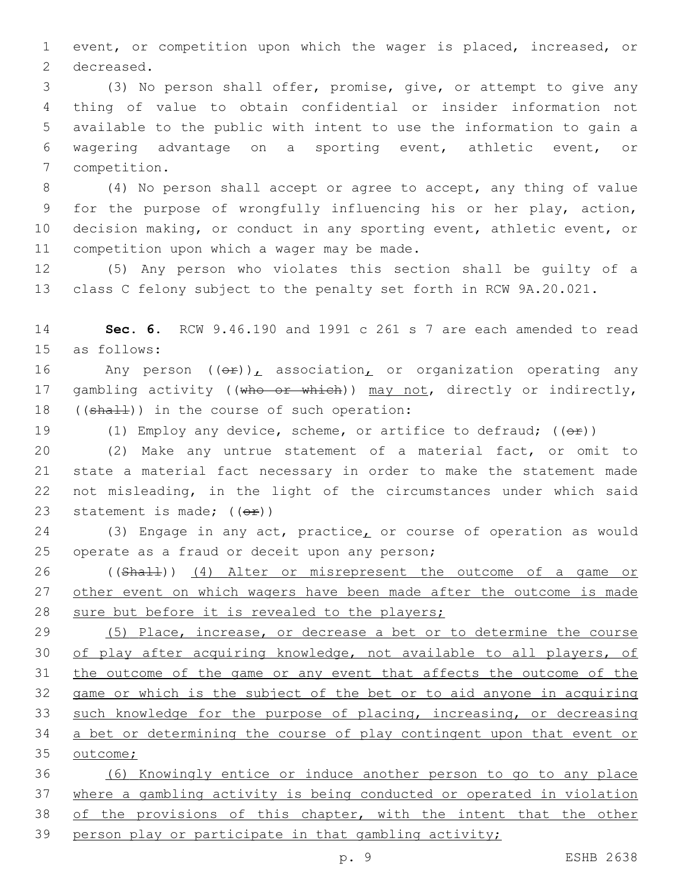event, or competition upon which the wager is placed, increased, or 2 decreased.

 (3) No person shall offer, promise, give, or attempt to give any thing of value to obtain confidential or insider information not available to the public with intent to use the information to gain a wagering advantage on a sporting event, athletic event, or 7 competition.

 (4) No person shall accept or agree to accept, any thing of value for the purpose of wrongfully influencing his or her play, action, decision making, or conduct in any sporting event, athletic event, or 11 competition upon which a wager may be made.

 (5) Any person who violates this section shall be guilty of a class C felony subject to the penalty set forth in RCW 9A.20.021.

 **Sec. 6.** RCW 9.46.190 and 1991 c 261 s 7 are each amended to read as follows:15

16 Any person  $((\theta \hat{r}))_L$  association<sub>L</sub> or organization operating any 17 gambling activity ((who or which)) may not, directly or indirectly, 18  $((shall))$  in the course of such operation:

19 (1) Employ any device, scheme, or artifice to defraud;  $((\theta \hat{r}))$ 

 (2) Make any untrue statement of a material fact, or omit to state a material fact necessary in order to make the statement made not misleading, in the light of the circumstances under which said 23 statement is made;  $((\theta \cdot \hat{r}))$ 

24 (3) Engage in any act, practice, or course of operation as would 25 operate as a fraud or deceit upon any person;

 ((Shall)) (4) Alter or misrepresent the outcome of a game or 27 other event on which wagers have been made after the outcome is made sure but before it is revealed to the players;

 (5) Place, increase, or decrease a bet or to determine the course of play after acquiring knowledge, not available to all players, of the outcome of the game or any event that affects the outcome of the game or which is the subject of the bet or to aid anyone in acquiring such knowledge for the purpose of placing, increasing, or decreasing a bet or determining the course of play contingent upon that event or 35 outcome;

 (6) Knowingly entice or induce another person to go to any place where a gambling activity is being conducted or operated in violation 38 of the provisions of this chapter, with the intent that the other person play or participate in that gambling activity;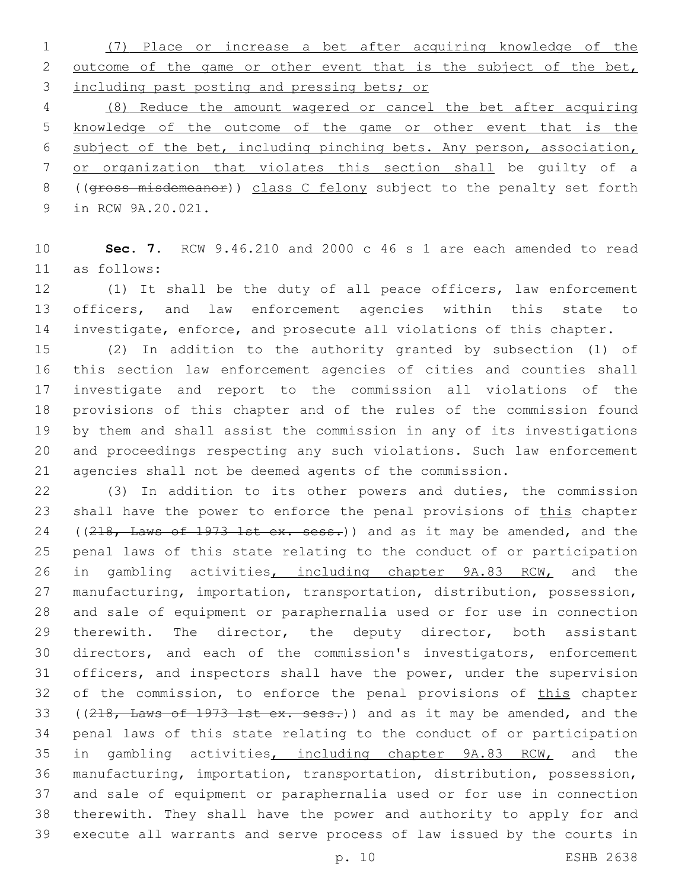(7) Place or increase a bet after acquiring knowledge of the 2 outcome of the game or other event that is the subject of the bet, including past posting and pressing bets; or

 (8) Reduce the amount wagered or cancel the bet after acquiring knowledge of the outcome of the game or other event that is the subject of the bet, including pinching bets. Any person, association, or organization that violates this section shall be guilty of a ((gross misdemeanor)) class C felony subject to the penalty set forth 9 in RCW 9A.20.021.

 **Sec. 7.** RCW 9.46.210 and 2000 c 46 s 1 are each amended to read as follows:11

 (1) It shall be the duty of all peace officers, law enforcement officers, and law enforcement agencies within this state to investigate, enforce, and prosecute all violations of this chapter.

 (2) In addition to the authority granted by subsection (1) of this section law enforcement agencies of cities and counties shall investigate and report to the commission all violations of the provisions of this chapter and of the rules of the commission found by them and shall assist the commission in any of its investigations and proceedings respecting any such violations. Such law enforcement agencies shall not be deemed agents of the commission.

 (3) In addition to its other powers and duties, the commission 23 shall have the power to enforce the penal provisions of this chapter 24 ((218, Laws of 1973 1st ex. sess.)) and as it may be amended, and the penal laws of this state relating to the conduct of or participation 26 in gambling activities, including chapter 9A.83 RCW, and the manufacturing, importation, transportation, distribution, possession, and sale of equipment or paraphernalia used or for use in connection 29 therewith. The director, the deputy director, both assistant directors, and each of the commission's investigators, enforcement officers, and inspectors shall have the power, under the supervision 32 of the commission, to enforce the penal provisions of this chapter 33 ((218, Laws of 1973 1st ex. sess.)) and as it may be amended, and the penal laws of this state relating to the conduct of or participation 35 in gambling activities, including chapter 9A.83 RCW, and the manufacturing, importation, transportation, distribution, possession, and sale of equipment or paraphernalia used or for use in connection therewith. They shall have the power and authority to apply for and execute all warrants and serve process of law issued by the courts in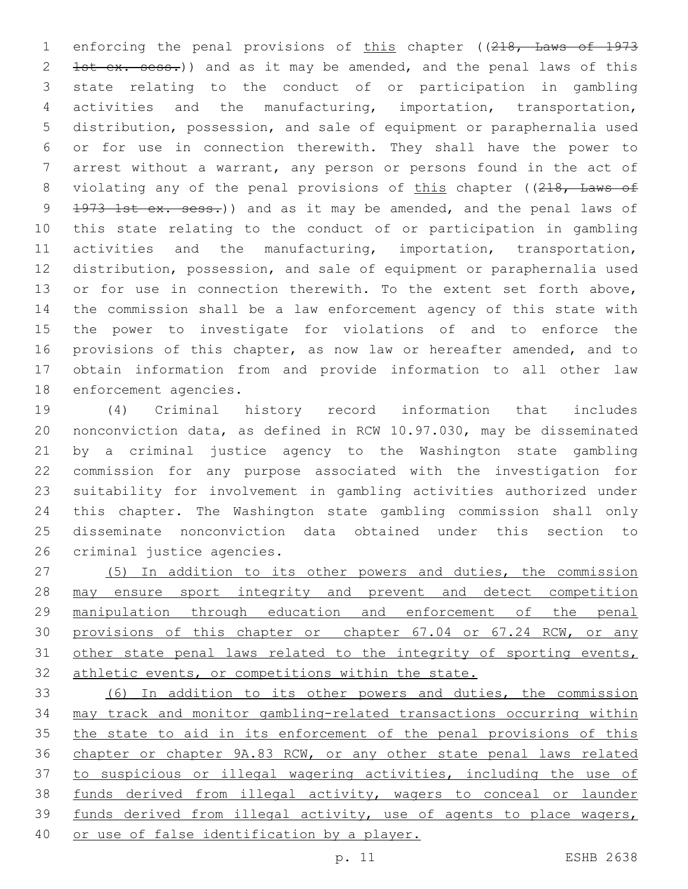1 enforcing the penal provisions of this chapter ((218, Laws of 1973 2 1st ex. sess.)) and as it may be amended, and the penal laws of this state relating to the conduct of or participation in gambling activities and the manufacturing, importation, transportation, distribution, possession, and sale of equipment or paraphernalia used or for use in connection therewith. They shall have the power to arrest without a warrant, any person or persons found in the act of 8 violating any of the penal provisions of this chapter ((218, Laws of 9 1973 1st ex. sess.)) and as it may be amended, and the penal laws of this state relating to the conduct of or participation in gambling activities and the manufacturing, importation, transportation, distribution, possession, and sale of equipment or paraphernalia used 13 or for use in connection therewith. To the extent set forth above, the commission shall be a law enforcement agency of this state with the power to investigate for violations of and to enforce the provisions of this chapter, as now law or hereafter amended, and to obtain information from and provide information to all other law 18 enforcement agencies.

 (4) Criminal history record information that includes nonconviction data, as defined in RCW 10.97.030, may be disseminated by a criminal justice agency to the Washington state gambling commission for any purpose associated with the investigation for suitability for involvement in gambling activities authorized under this chapter. The Washington state gambling commission shall only disseminate nonconviction data obtained under this section to 26 criminal justice agencies.

 (5) In addition to its other powers and duties, the commission may ensure sport integrity and prevent and detect competition manipulation through education and enforcement of the penal 30 provisions of this chapter or chapter 67.04 or 67.24 RCW, or any 31 other state penal laws related to the integrity of sporting events, athletic events, or competitions within the state.

 (6) In addition to its other powers and duties, the commission may track and monitor gambling-related transactions occurring within 35 the state to aid in its enforcement of the penal provisions of this chapter or chapter 9A.83 RCW, or any other state penal laws related to suspicious or illegal wagering activities, including the use of funds derived from illegal activity, wagers to conceal or launder funds derived from illegal activity, use of agents to place wagers, or use of false identification by a player.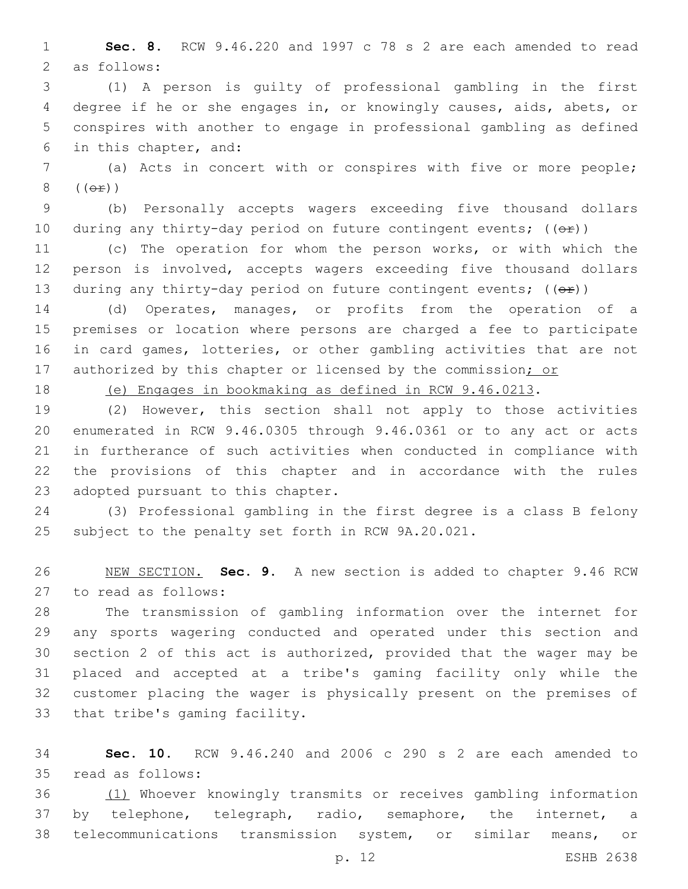**Sec. 8.** RCW 9.46.220 and 1997 c 78 s 2 are each amended to read 2 as follows:

 (1) A person is guilty of professional gambling in the first degree if he or she engages in, or knowingly causes, aids, abets, or conspires with another to engage in professional gambling as defined 6 in this chapter, and:

 (a) Acts in concert with or conspires with five or more people;  $(\Theta \pm)$ )

 (b) Personally accepts wagers exceeding five thousand dollars 10 during any thirty-day period on future contingent events;  $((e f))^2$ 

 (c) The operation for whom the person works, or with which the person is involved, accepts wagers exceeding five thousand dollars 13 during any thirty-day period on future contingent events;  $((\theta \cdot \hat{r}))$ 

 (d) Operates, manages, or profits from the operation of a premises or location where persons are charged a fee to participate in card games, lotteries, or other gambling activities that are not 17 authorized by this chapter or licensed by the commission; or

(e) Engages in bookmaking as defined in RCW 9.46.0213.

 (2) However, this section shall not apply to those activities enumerated in RCW 9.46.0305 through 9.46.0361 or to any act or acts in furtherance of such activities when conducted in compliance with the provisions of this chapter and in accordance with the rules 23 adopted pursuant to this chapter.

 (3) Professional gambling in the first degree is a class B felony subject to the penalty set forth in RCW 9A.20.021.

 NEW SECTION. **Sec. 9.** A new section is added to chapter 9.46 RCW 27 to read as follows:

 The transmission of gambling information over the internet for any sports wagering conducted and operated under this section and section 2 of this act is authorized, provided that the wager may be placed and accepted at a tribe's gaming facility only while the customer placing the wager is physically present on the premises of 33 that tribe's gaming facility.

 **Sec. 10.** RCW 9.46.240 and 2006 c 290 s 2 are each amended to read as follows:35

 (1) Whoever knowingly transmits or receives gambling information by telephone, telegraph, radio, semaphore, the internet, a telecommunications transmission system, or similar means, or

p. 12 ESHB 2638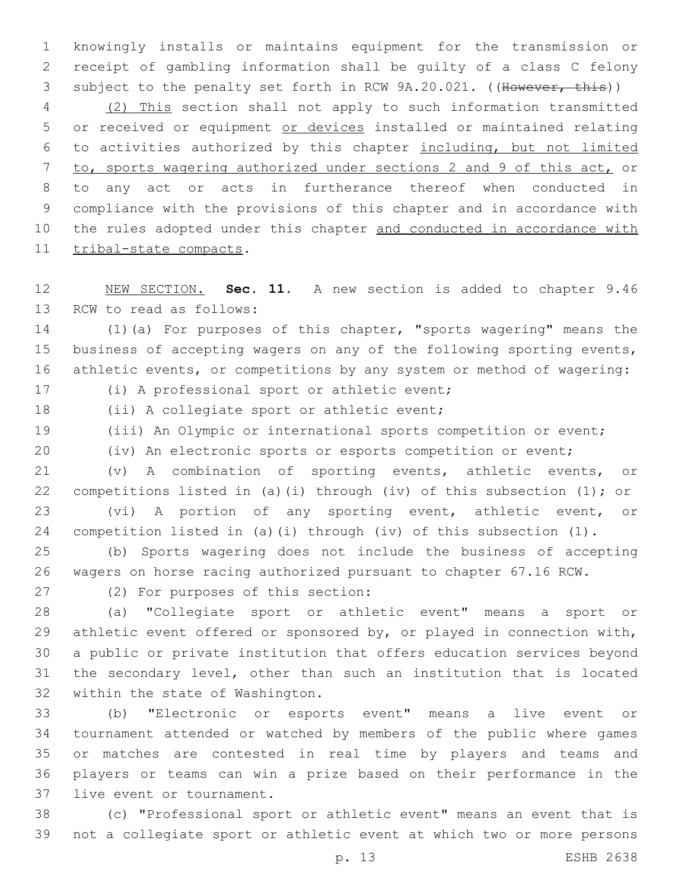knowingly installs or maintains equipment for the transmission or receipt of gambling information shall be guilty of a class C felony 3 subject to the penalty set forth in RCW 9A.20.021. ((However, this))

 (2) This section shall not apply to such information transmitted 5 or received or equipment or devices installed or maintained relating to activities authorized by this chapter including, but not limited to, sports wagering authorized under sections 2 and 9 of this act, or to any act or acts in furtherance thereof when conducted in compliance with the provisions of this chapter and in accordance with 10 the rules adopted under this chapter and conducted in accordance with 11 tribal-state compacts.

 NEW SECTION. **Sec. 11.** A new section is added to chapter 9.46 13 RCW to read as follows:

 (1)(a) For purposes of this chapter, "sports wagering" means the 15 business of accepting wagers on any of the following sporting events, athletic events, or competitions by any system or method of wagering:

17 (i) A professional sport or athletic event;

18 (ii) A collegiate sport or athletic event;

(iii) An Olympic or international sports competition or event;

(iv) An electronic sports or esports competition or event;

 (v) A combination of sporting events, athletic events, or competitions listed in (a)(i) through (iv) of this subsection (1); or (vi) A portion of any sporting event, athletic event, or competition listed in (a)(i) through (iv) of this subsection (1).

 (b) Sports wagering does not include the business of accepting wagers on horse racing authorized pursuant to chapter 67.16 RCW.

27 (2) For purposes of this section:

 (a) "Collegiate sport or athletic event" means a sport or athletic event offered or sponsored by, or played in connection with, a public or private institution that offers education services beyond the secondary level, other than such an institution that is located 32 within the state of Washington.

 (b) "Electronic or esports event" means a live event or tournament attended or watched by members of the public where games or matches are contested in real time by players and teams and players or teams can win a prize based on their performance in the 37 live event or tournament.

 (c) "Professional sport or athletic event" means an event that is not a collegiate sport or athletic event at which two or more persons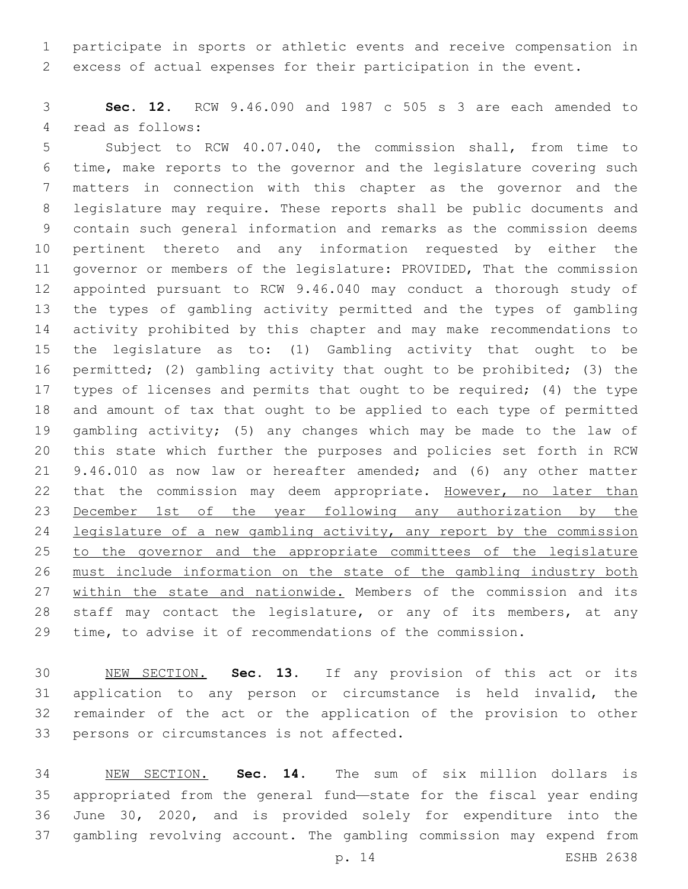participate in sports or athletic events and receive compensation in excess of actual expenses for their participation in the event.

 **Sec. 12.** RCW 9.46.090 and 1987 c 505 s 3 are each amended to 4 read as follows:

 Subject to RCW 40.07.040, the commission shall, from time to time, make reports to the governor and the legislature covering such matters in connection with this chapter as the governor and the legislature may require. These reports shall be public documents and contain such general information and remarks as the commission deems pertinent thereto and any information requested by either the governor or members of the legislature: PROVIDED, That the commission appointed pursuant to RCW 9.46.040 may conduct a thorough study of the types of gambling activity permitted and the types of gambling activity prohibited by this chapter and may make recommendations to the legislature as to: (1) Gambling activity that ought to be permitted; (2) gambling activity that ought to be prohibited; (3) the types of licenses and permits that ought to be required; (4) the type and amount of tax that ought to be applied to each type of permitted gambling activity; (5) any changes which may be made to the law of this state which further the purposes and policies set forth in RCW 9.46.010 as now law or hereafter amended; and (6) any other matter 22 that the commission may deem appropriate. However, no later than December 1st of the year following any authorization by the legislature of a new gambling activity, any report by the commission 25 to the governor and the appropriate committees of the legislature must include information on the state of the gambling industry both 27 within the state and nationwide. Members of the commission and its staff may contact the legislature, or any of its members, at any time, to advise it of recommendations of the commission.

 NEW SECTION. **Sec. 13.** If any provision of this act or its application to any person or circumstance is held invalid, the remainder of the act or the application of the provision to other persons or circumstances is not affected.

 NEW SECTION. **Sec. 14.** The sum of six million dollars is appropriated from the general fund—state for the fiscal year ending June 30, 2020, and is provided solely for expenditure into the gambling revolving account. The gambling commission may expend from